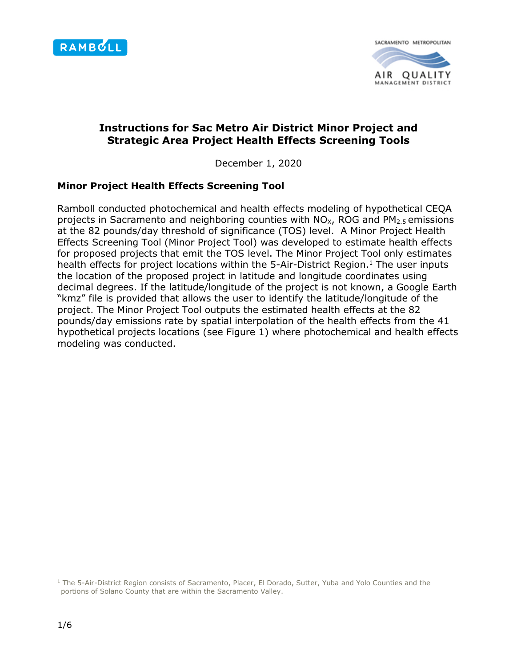

SACRAMENTO METROPOLITAN AIR QUALITY MANAGEMENT DISTRICT

# **Instructions for Sac Metro Air District Minor Project and Strategic Area Project Health Effects Screening Tools**

December 1, 2020

### **Minor Project Health Effects Screening Tool**

Ramboll conducted photochemical and health effects modeling of hypothetical CEQA projects in Sacramento and neighboring counties with  $NO_{X}$ , ROG and  $PM_{2.5}$  emissions at the 82 pounds/day threshold of significance (TOS) level. A Minor Project Health Effects Screening Tool (Minor Project Tool) was developed to estimate health effects for proposed projects that emit the TOS level. The Minor Project Tool only estimates health effects for project locations within the 5-Air-District Region.<sup>1</sup> The user inputs the location of the proposed project in latitude and longitude coordinates using decimal degrees. If the latitude/longitude of the project is not known, a Google Earth "kmz" file is provided that allows the user to identify the latitude/longitude of the project. The Minor Project Tool outputs the estimated health effects at the 82 pounds/day emissions rate by spatial interpolation of the health effects from the 41 hypothetical projects locations (see Figure 1) where photochemical and health effects modeling was conducted.

<sup>1</sup> The 5-Air-District Region consists of Sacramento, Placer, El Dorado, Sutter, Yuba and Yolo Counties and the portions of Solano County that are within the Sacramento Valley.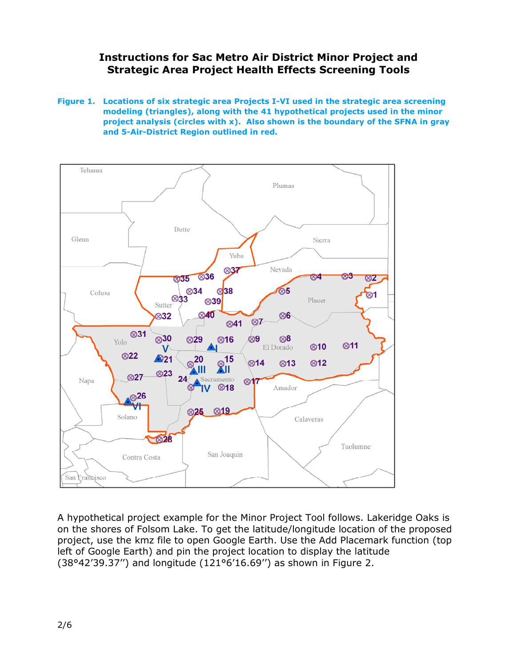**Figure 1. Locations of six strategic area Projects I-VI used in the strategic area screening modeling (triangles), along with the 41 hypothetical projects used in the minor project analysis (circles with x). Also shown is the boundary of the SFNA in gray and 5-Air-District Region outlined in red.** 



A hypothetical project example for the Minor Project Tool follows. Lakeridge Oaks is on the shores of Folsom Lake. To get the latitude/longitude location of the proposed project, use the kmz file to open Google Earth. Use the Add Placemark function (top left of Google Earth) and pin the project location to display the latitude (38°42'39.37'') and longitude (121°6'16.69'') as shown in Figure 2.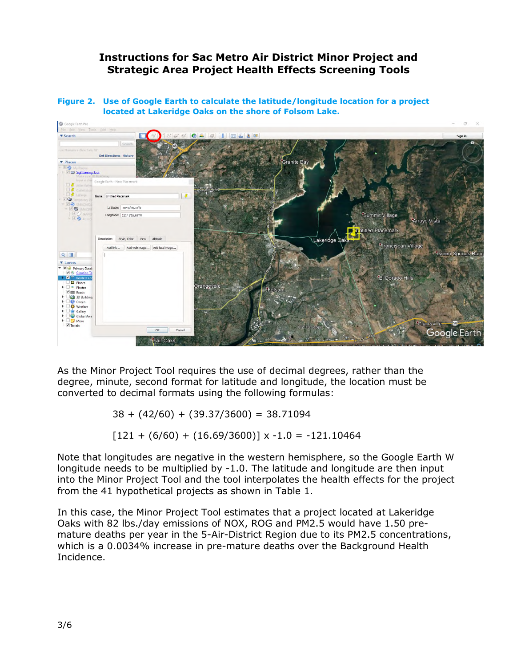**Figure 2. Use of Google Earth to calculate the latitude/longitude location for a project located at Lakeridge Oaks on the shore of Folsom Lake.**



As the Minor Project Tool requires the use of decimal degrees, rather than the degree, minute, second format for latitude and longitude, the location must be converted to decimal formats using the following formulas:

 $38 + (42/60) + (39.37/3600) = 38.71094$ 

 $[121 + (6/60) + (16.69/3600)] \times -1.0 = -121.10464$ 

Note that longitudes are negative in the western hemisphere, so the Google Earth W longitude needs to be multiplied by -1.0. The latitude and longitude are then input into the Minor Project Tool and the tool interpolates the health effects for the project from the 41 hypothetical projects as shown in Table 1.

In this case, the Minor Project Tool estimates that a project located at Lakeridge Oaks with 82 lbs./day emissions of NOX, ROG and PM2.5 would have 1.50 premature deaths per year in the 5-Air-District Region due to its PM2.5 concentrations, which is a 0.0034% increase in pre-mature deaths over the Background Health Incidence.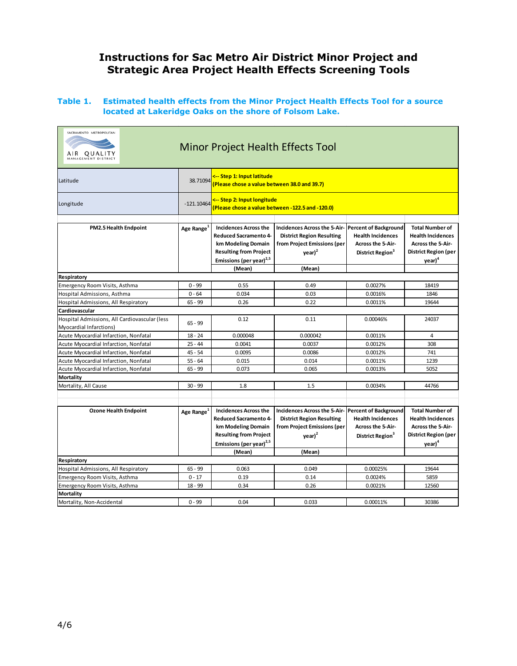#### **Table 1. Estimated health effects from the Minor Project Health Effects Tool for a source located at Lakeridge Oaks on the shore of Folsom Lake.**

| SACRAMENTO METROPOLITAN<br>AIR QUALITY<br>MANAGEMENT DISTRIC             |                        |                                                                                                                                                                      | Minor Project Health Effects Tool                                                                                                                              |                                                                                      |                                                                                                                                     |  |  |
|--------------------------------------------------------------------------|------------------------|----------------------------------------------------------------------------------------------------------------------------------------------------------------------|----------------------------------------------------------------------------------------------------------------------------------------------------------------|--------------------------------------------------------------------------------------|-------------------------------------------------------------------------------------------------------------------------------------|--|--|
| Latitude                                                                 | 38.71094               | <-- Step 1: Input latitude<br>(Please chose a value between 38.0 and 39.7)                                                                                           |                                                                                                                                                                |                                                                                      |                                                                                                                                     |  |  |
| Longitude                                                                | $-121.10464$           | <-- Step 2: Input longitude<br>(Please chose a value between -122.5 and -120.0)                                                                                      |                                                                                                                                                                |                                                                                      |                                                                                                                                     |  |  |
| PM2.5 Health Endpoint                                                    | Age Range <sup>1</sup> | <b>Incidences Across the</b><br><b>Reduced Sacramento 4-</b><br>km Modeling Domain<br><b>Resulting from Project</b><br>Emissions (per year) <sup>2,5</sup><br>(Mean) | Incidences Across the 5-Air-Percent of Background<br><b>District Region Resulting</b><br>from Project Emissions (per<br>$\text{year}$ ) <sup>2</sup><br>(Mean) | <b>Health Incidences</b><br><b>Across the 5-Air-</b><br>District Region <sup>3</sup> | <b>Total Number of</b><br><b>Health Incidences</b><br><b>Across the 5-Air-</b><br><b>District Region (per</b><br>year) <sup>4</sup> |  |  |
| Respiratory                                                              |                        |                                                                                                                                                                      |                                                                                                                                                                |                                                                                      |                                                                                                                                     |  |  |
| Emergency Room Visits, Asthma                                            | $0 - 99$               | 0.55                                                                                                                                                                 | 0.49                                                                                                                                                           | 0.0027%                                                                              | 18419                                                                                                                               |  |  |
| Hospital Admissions, Asthma                                              | $0 - 64$               | 0.034                                                                                                                                                                | 0.03                                                                                                                                                           | 0.0016%                                                                              | 1846                                                                                                                                |  |  |
| Hospital Admissions, All Respiratory                                     | $65 - 99$              | 0.26                                                                                                                                                                 | 0.22                                                                                                                                                           | 0.0011%                                                                              | 19644                                                                                                                               |  |  |
| Cardiovascular                                                           |                        |                                                                                                                                                                      |                                                                                                                                                                |                                                                                      |                                                                                                                                     |  |  |
| Hospital Admissions, All Cardiovascular (less<br>Myocardial Infarctions) | $65 - 99$              | 0.12                                                                                                                                                                 | 0.11                                                                                                                                                           | 0.00046%                                                                             | 24037                                                                                                                               |  |  |
| Acute Myocardial Infarction, Nonfatal                                    | $18 - 24$              | 0.000048                                                                                                                                                             | 0.000042                                                                                                                                                       | 0.0011%                                                                              | $\overline{4}$                                                                                                                      |  |  |
| Acute Myocardial Infarction, Nonfatal                                    | $25 - 44$              | 0.0041                                                                                                                                                               | 0.0037                                                                                                                                                         | 0.0012%                                                                              | 308                                                                                                                                 |  |  |
| Acute Myocardial Infarction, Nonfatal                                    | $45 - 54$              | 0.0095                                                                                                                                                               | 0.0086                                                                                                                                                         | 0.0012%                                                                              | 741                                                                                                                                 |  |  |
| Acute Myocardial Infarction, Nonfatal                                    | $55 - 64$              | 0.015                                                                                                                                                                | 0.014                                                                                                                                                          | 0.0011%                                                                              | 1239                                                                                                                                |  |  |
| Acute Myocardial Infarction, Nonfatal                                    | $65 - 99$              | 0.073                                                                                                                                                                | 0.065                                                                                                                                                          | 0.0013%                                                                              | 5052                                                                                                                                |  |  |
| <b>Mortality</b>                                                         |                        |                                                                                                                                                                      |                                                                                                                                                                |                                                                                      |                                                                                                                                     |  |  |
| Mortality, All Cause                                                     | $30 - 99$              | 1.8                                                                                                                                                                  | 1.5                                                                                                                                                            | 0.0034%                                                                              | 44766                                                                                                                               |  |  |
|                                                                          |                        |                                                                                                                                                                      |                                                                                                                                                                |                                                                                      |                                                                                                                                     |  |  |
| <b>Ozone Health Endpoint</b>                                             | Age Range <sup>1</sup> | <b>Incidences Across the</b><br><b>Reduced Sacramento 4-</b><br>km Modeling Domain<br><b>Resulting from Project</b><br>Emissions (per year) <sup>2,5</sup><br>(Mean) | Incidences Across the 5-Air-Percent of Background<br><b>District Region Resulting</b><br>from Project Emissions (per<br>$\mathsf{year})^2$<br>(Mean)           | <b>Health Incidences</b><br><b>Across the 5-Air-</b><br>District Region <sup>3</sup> | <b>Total Number of</b><br><b>Health Incidences</b><br><b>Across the 5-Air-</b><br>District Region (per<br>year) <sup>4</sup>        |  |  |
| Respiratory                                                              |                        |                                                                                                                                                                      |                                                                                                                                                                |                                                                                      |                                                                                                                                     |  |  |
| Hospital Admissions, All Respiratory                                     | $65 - 99$              | 0.063                                                                                                                                                                | 0.049                                                                                                                                                          | 0.00025%                                                                             | 19644                                                                                                                               |  |  |
| Emergency Room Visits, Asthma                                            | $0 - 17$               | 0.19                                                                                                                                                                 | 0.14                                                                                                                                                           | 0.0024%                                                                              | 5859                                                                                                                                |  |  |
| Emergency Room Visits, Asthma                                            | $18 - 99$              | 0.34                                                                                                                                                                 | 0.26                                                                                                                                                           | 0.0021%                                                                              | 12560                                                                                                                               |  |  |
| <b>Mortality</b>                                                         |                        |                                                                                                                                                                      |                                                                                                                                                                |                                                                                      |                                                                                                                                     |  |  |
| Mortality, Non-Accidental                                                | $0 - 99$               | 0.04                                                                                                                                                                 | 0.033                                                                                                                                                          | 0.00011%                                                                             | 30386                                                                                                                               |  |  |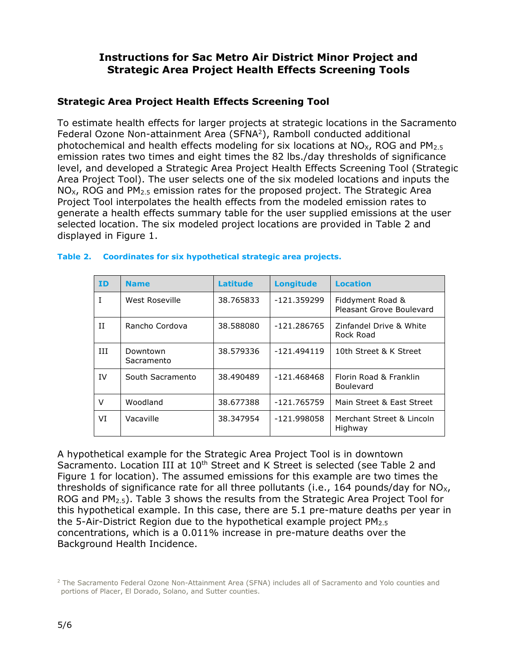### **Strategic Area Project Health Effects Screening Tool**

To estimate health effects for larger projects at strategic locations in the Sacramento Federal Ozone Non-attainment Area (SFNA<sup>2</sup>), Ramboll conducted additional photochemical and health effects modeling for six locations at  $NO_{X}$ , ROG and  $PM_{2.5}$ emission rates two times and eight times the 82 lbs./day thresholds of significance level, and developed a Strategic Area Project Health Effects Screening Tool (Strategic Area Project Tool). The user selects one of the six modeled locations and inputs the  $NO<sub>X</sub>$ , ROG and PM<sub>2.5</sub> emission rates for the proposed project. The Strategic Area Project Tool interpolates the health effects from the modeled emission rates to generate a health effects summary table for the user supplied emissions at the user selected location. The six modeled project locations are provided in Table 2 and displayed in Figure 1.

| <b>ID</b> | <b>Name</b>            | <b>Latitude</b> | <b>Longitude</b> | <b>Location</b>                              |
|-----------|------------------------|-----------------|------------------|----------------------------------------------|
| I         | West Roseville         | 38.765833       | $-121.359299$    | Fiddyment Road &<br>Pleasant Grove Boulevard |
| Π         | Rancho Cordova         | 38.588080       | -121.286765      | Zinfandel Drive & White<br>Rock Road         |
| ИI        | Downtown<br>Sacramento | 38.579336       | $-121.494119$    | 10th Street & K Street                       |
| IV        | South Sacramento       | 38.490489       | -121.468468      | Florin Road & Franklin<br><b>Boulevard</b>   |
| $\vee$    | Woodland               | 38.677388       | $-121.765759$    | Main Street & East Street                    |
| VI        | Vacaville              | 38.347954       | -121.998058      | Merchant Street & Lincoln<br>Highway         |

### **Table 2. Coordinates for six hypothetical strategic area projects.**

A hypothetical example for the Strategic Area Project Tool is in downtown Sacramento. Location III at 10<sup>th</sup> Street and K Street is selected (see Table 2 and Figure 1 for location). The assumed emissions for this example are two times the thresholds of significance rate for all three pollutants (i.e., 164 pounds/day for  $NO_{X}$ , ROG and  $PM_{2.5}$ ). Table 3 shows the results from the Strategic Area Project Tool for this hypothetical example. In this case, there are 5.1 pre-mature deaths per year in the 5-Air-District Region due to the hypothetical example project  $PM<sub>2.5</sub>$ concentrations, which is a 0.011% increase in pre-mature deaths over the Background Health Incidence.

<sup>&</sup>lt;sup>2</sup> The Sacramento Federal Ozone Non-Attainment Area (SFNA) includes all of Sacramento and Yolo counties and portions of Placer, El Dorado, Solano, and Sutter counties.